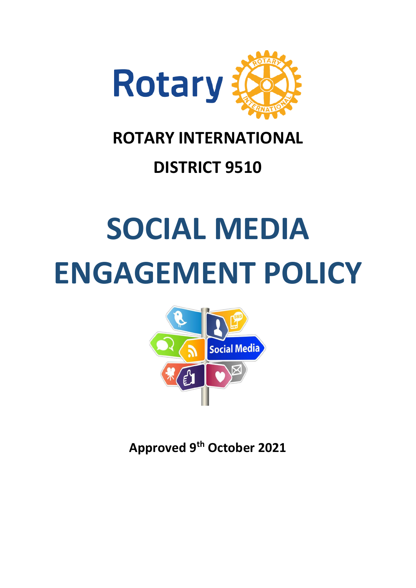

# **ROTARY INTERNATIONAL**

# **DISTRICT 9510**

# **SOCIAL MEDIA ENGAGEMENT POLICY**



**Approved 9th October 2021**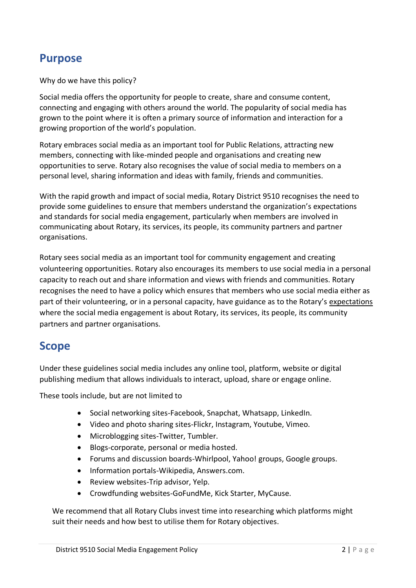## **Purpose**

Why do we have this policy?

Social media offers the opportunity for people to create, share and consume content, connecting and engaging with others around the world. The popularity of social media has grown to the point where it is often a primary source of information and interaction for a growing proportion of the world's population.

Rotary embraces social media as an important tool for Public Relations, attracting new members, connecting with like-minded people and organisations and creating new opportunities to serve. Rotary also recognises the value of social media to members on a personal level, sharing information and ideas with family, friends and communities.

With the rapid growth and impact of social media, Rotary District 9510 recognises the need to provide some guidelines to ensure that members understand the organization's expectations and standards for social media engagement, particularly when members are involved in communicating about Rotary, its services, its people, its community partners and partner organisations.

Rotary sees social media as an important tool for community engagement and creating volunteering opportunities. Rotary also encourages its members to use social media in a personal capacity to reach out and share information and views with friends and communities. Rotary recognises the need to have a policy which ensures that members who use social media either as part of their volunteering, or in a personal capacity, have guidance as to the Rotary's expectations where the social media engagement is about Rotary, its services, its people, its community partners and partner organisations.

## **Scope**

Under these guidelines social media includes any online tool, platform, website or digital publishing medium that allows individuals to interact, upload, share or engage online.

These tools include, but are not limited to

- Social networking sites-Facebook, Snapchat, Whatsapp, LinkedIn.
- Video and photo sharing sites-Flickr, Instagram, Youtube, Vimeo.
- Microblogging sites-Twitter, Tumbler.
- Blogs-corporate, personal or media hosted.
- Forums and discussion boards-Whirlpool, Yahoo! groups, Google groups.
- Information portals-Wikipedia, Answers.com.
- Review websites-Trip advisor, Yelp.
- Crowdfunding websites-GoFundMe, Kick Starter, MyCause.

We recommend that all Rotary Clubs invest time into researching which platforms might suit their needs and how best to utilise them for Rotary objectives.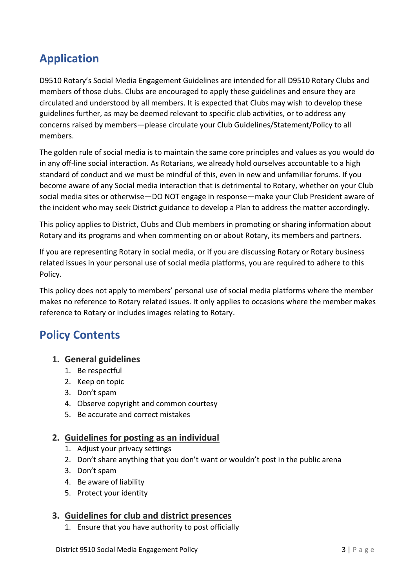# **Application**

D9510 Rotary's Social Media Engagement Guidelines are intended for all D9510 Rotary Clubs and members of those clubs. Clubs are encouraged to apply these guidelines and ensure they are circulated and understood by all members. It is expected that Clubs may wish to develop these guidelines further, as may be deemed relevant to specific club activities, or to address any concerns raised by members—please circulate your Club Guidelines/Statement/Policy to all members.

The golden rule of social media is to maintain the same core principles and values as you would do in any off-line social interaction. As Rotarians, we already hold ourselves accountable to a high standard of conduct and we must be mindful of this, even in new and unfamiliar forums. If you become aware of any Social media interaction that is detrimental to Rotary, whether on your Club social media sites or otherwise—DO NOT engage in response—make your Club President aware of the incident who may seek District guidance to develop a Plan to address the matter accordingly.

This policy applies to District, Clubs and Club members in promoting or sharing information about Rotary and its programs and when commenting on or about Rotary, its members and partners.

If you are representing Rotary in social media, or if you are discussing Rotary or Rotary business related issues in your personal use of social media platforms, you are required to adhere to this Policy.

This policy does not apply to members' personal use of social media platforms where the member makes no reference to Rotary related issues. It only applies to occasions where the member makes reference to Rotary or includes images relating to Rotary.

# **Policy Contents**

#### **1. [General guidelines](https://rosnf.org/training/snetiquette/#general)**

- 1. [Be respectful](https://rosnf.org/training/snetiquette/#respectful)
- 2. [Keep on topic](https://rosnf.org/training/snetiquette/#topic)
- 3. [Don't spam](https://rosnf.org/training/snetiquette/#spam)
- 4. [Observe copyright and common courtesy](https://rosnf.org/training/snetiquette/#copyright)
- 5. [Be accurate and correct mistakes](https://rosnf.org/training/snetiquette/#accurate)

#### **2. [Guidelines for posting as an individual](https://rosnf.org/training/snetiquette/#individual)**

- 1. [Adjust your privacy settings](https://rosnf.org/training/snetiquette/#settings)
- 2. [Don't share anything that you don't want or wouldn't post in the public arena](https://rosnf.org/training/snetiquette/#public)
- 3. [Don't spam](https://rosnf.org/training/snetiquette/#spam2)
- 4. [Be aware of liability](https://rosnf.org/training/snetiquette/#liability)
- 5. [Protect your identity](https://rosnf.org/training/snetiquette/#identity)

#### **3. [Guidelines for club and district presences](https://rosnf.org/training/snetiquette/#clubs)**

1. [Ensure that you have authority to post officially](https://rosnf.org/training/snetiquette/#authority)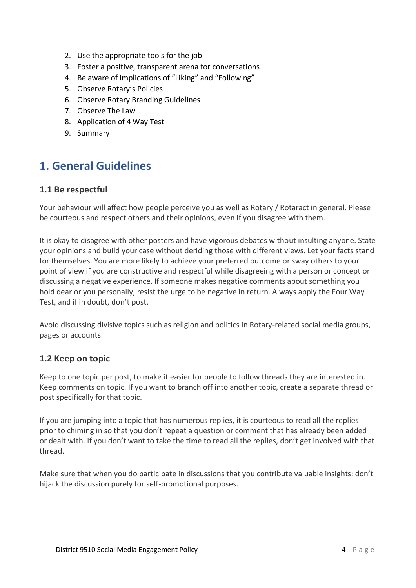- 2. [Use the appropriate tools for the job](https://rosnf.org/training/snetiquette/#tools)
- 3. [Foster a positive, transparent arena for conversations](https://rosnf.org/training/snetiquette/#positive)
- 4. [Be aware of implications of "Liking" and "Following"](https://rosnf.org/training/snetiquette/#implications)
- 5. [Observe Rotary's Policies](https://rosnf.org/training/snetiquette/#policies)
- 6. Observe Rotary Branding Guidelines
- 7. [Observe The](https://rosnf.org/training/snetiquette/#policies) Law
- 8. Application of 4 Way Test
- 9. Summary

# **1. General Guidelines**

#### **1.1 Be respectful**

Your behaviour will affect how people perceive you as well as Rotary / Rotaract in general. Please be courteous and respect others and their opinions, even if you disagree with them.

It is okay to disagree with other posters and have vigorous debates without insulting anyone. State your opinions and build your case without deriding those with different views. Let your facts stand for themselves. You are more likely to achieve your preferred outcome or sway others to your point of view if you are constructive and respectful while disagreeing with a person or concept or discussing a negative experience. If someone makes negative comments about something you hold dear or you personally, resist the urge to be negative in return. Always apply the Four Way Test, and if in doubt, don't post.

Avoid discussing divisive topics such as religion and politics in Rotary-related social media groups, pages or accounts.

#### **1.2 Keep on topic**

Keep to one topic per post, to make it easier for people to follow threads they are interested in. Keep comments on topic. If you want to branch off into another topic, create a separate thread or post specifically for that topic.

If you are jumping into a topic that has numerous replies, it is courteous to read all the replies prior to chiming in so that you don't repeat a question or comment that has already been added or dealt with. If you don't want to take the time to read all the replies, don't get involved with that thread.

Make sure that when you do participate in discussions that you contribute valuable insights; don't hijack the discussion purely for self-promotional purposes.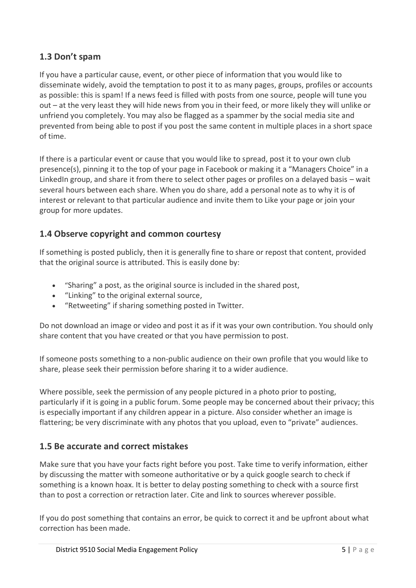#### **1.3 Don't spam**

If you have a particular cause, event, or other piece of information that you would like to disseminate widely, avoid the temptation to post it to as many pages, groups, profiles or accounts as possible: this is spam! If a news feed is filled with posts from one source, people will tune you out – at the very least they will hide news from you in their feed, or more likely they will unlike or unfriend you completely. You may also be flagged as a spammer by the social media site and prevented from being able to post if you post the same content in multiple places in a short space of time.

If there is a particular event or cause that you would like to spread, post it to your own club presence(s), pinning it to the top of your page in Facebook or making it a "Managers Choice" in a LinkedIn group, and share it from there to select other pages or profiles on a delayed basis – wait several hours between each share. When you do share, add a personal note as to why it is of interest or relevant to that particular audience and invite them to Like your page or join your group for more updates.

#### **1.4 Observe copyright and common courtesy**

If something is posted publicly, then it is generally fine to share or repost that content, provided that the original source is attributed. This is easily done by:

- "Sharing" a post, as the original source is included in the shared post,
- "Linking" to the original external source,
- "Retweeting" if sharing something posted in Twitter.

Do not download an image or video and post it as if it was your own contribution. You should only share content that you have created or that you have permission to post.

If someone posts something to a non-public audience on their own profile that you would like to share, please seek their permission before sharing it to a wider audience.

Where possible, seek the permission of any people pictured in a photo prior to posting, particularly if it is going in a public forum. Some people may be concerned about their privacy; this is especially important if any children appear in a picture. Also consider whether an image is flattering; be very discriminate with any photos that you upload, even to "private" audiences.

#### **1.5 Be accurate and correct mistakes**

Make sure that you have your facts right before you post. Take time to verify information, either by discussing the matter with someone authoritative or by a quick google search to check if something is a known hoax. It is better to delay posting something to check with a source first than to post a correction or retraction later. Cite and link to sources wherever possible.

If you do post something that contains an error, be quick to correct it and be upfront about what correction has been made.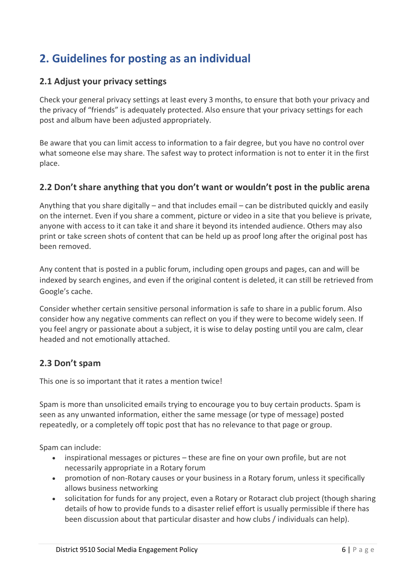# **2. Guidelines for posting as an individual**

#### **2.1 Adjust your privacy settings**

Check your general privacy settings at least every 3 months, to ensure that both your privacy and the privacy of "friends" is adequately protected. Also ensure that your privacy settings for each post and album have been adjusted appropriately.

Be aware that you can limit access to information to a fair degree, but you have no control over what someone else may share. The safest way to protect information is not to enter it in the first place.

#### **2.2 Don't share anything that you don't want or wouldn't post in the public arena**

Anything that you share digitally – and that includes email – can be distributed quickly and easily on the internet. Even if you share a comment, picture or video in a site that you believe is private, anyone with access to it can take it and share it beyond its intended audience. Others may also print or take screen shots of content that can be held up as proof long after the original post has been removed.

Any content that is posted in a public forum, including open groups and pages, can and will be indexed by search engines, and even if the original content is deleted, it can still be retrieved from Google's cache.

Consider whether certain sensitive personal information is safe to share in a public forum. Also consider how any negative comments can reflect on you if they were to become widely seen. If you feel angry or passionate about a subject, it is wise to delay posting until you are calm, clear headed and not emotionally attached.

#### **2.3 Don't spam**

This one is so important that it rates a mention twice!

Spam is more than unsolicited emails trying to encourage you to buy certain products. Spam is seen as any unwanted information, either the same message (or type of message) posted repeatedly, or a completely off topic post that has no relevance to that page or group.

Spam can include:

- inspirational messages or pictures these are fine on your own profile, but are not necessarily appropriate in a Rotary forum
- promotion of non-Rotary causes or your business in a Rotary forum, unless it specifically allows business networking
- solicitation for funds for any project, even a Rotary or Rotaract club project (though sharing details of how to provide funds to a disaster relief effort is usually permissible if there has been discussion about that particular disaster and how clubs / individuals can help).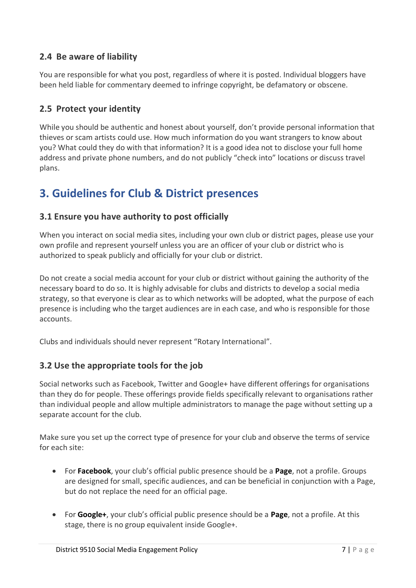#### **2.4 Be aware of liability**

You are responsible for what you post, regardless of where it is posted. Individual bloggers have been held liable for commentary deemed to infringe copyright, be defamatory or obscene.

#### **2.5 Protect your identity**

While you should be authentic and honest about yourself, don't provide personal information that thieves or scam artists could use. How much information do you want strangers to know about you? What could they do with that information? It is a good idea not to disclose your full home address and private phone numbers, and do not publicly "check into" locations or discuss travel plans.

# **3. Guidelines for Club & District presences**

#### **3.1 Ensure you have authority to post officially**

When you interact on social media sites, including your own club or district pages, please use your own profile and represent yourself unless you are an officer of your club or district who is authorized to speak publicly and officially for your club or district.

Do not create a social media account for your club or district without gaining the authority of the necessary board to do so. It is highly advisable for clubs and districts to develop a social media strategy, so that everyone is clear as to which networks will be adopted, what the purpose of each presence is including who the target audiences are in each case, and who is responsible for those accounts.

Clubs and individuals should never represent "Rotary International".

#### **3.2 Use the appropriate tools for the job**

Social networks such as Facebook, Twitter and Google+ have different offerings for organisations than they do for people. These offerings provide fields specifically relevant to organisations rather than individual people and allow multiple administrators to manage the page without setting up a separate account for the club.

Make sure you set up the correct type of presence for your club and observe the terms of service for each site:

- For **Facebook**, your club's official public presence should be a **Page**, not a profile. Groups are designed for small, specific audiences, and can be beneficial in conjunction with a Page, but do not replace the need for an official page.
- For **Google+**, your club's official public presence should be a **Page**, not a profile. At this stage, there is no group equivalent inside Google+.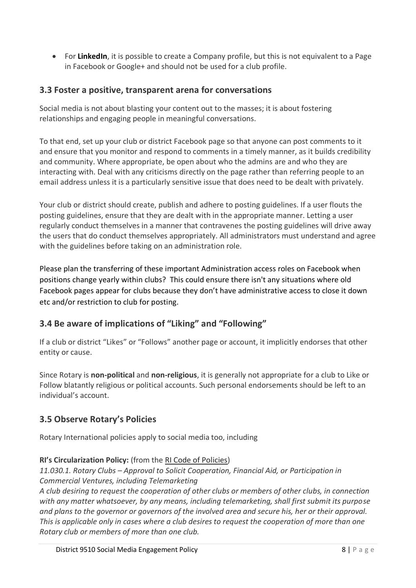• For **LinkedIn**, it is possible to create a Company profile, but this is not equivalent to a Page in Facebook or Google+ and should not be used for a club profile.

#### **3.3 Foster a positive, transparent arena for conversations**

Social media is not about blasting your content out to the masses; it is about fostering relationships and engaging people in meaningful conversations.

To that end, set up your club or district Facebook page so that anyone can post comments to it and ensure that you monitor and respond to comments in a timely manner, as it builds credibility and community. Where appropriate, be open about who the admins are and who they are interacting with. Deal with any criticisms directly on the page rather than referring people to an email address unless it is a particularly sensitive issue that does need to be dealt with privately.

Your club or district should create, publish and adhere to posting guidelines. If a user flouts the posting guidelines, ensure that they are dealt with in the appropriate manner. Letting a user regularly conduct themselves in a manner that contravenes the posting guidelines will drive away the users that do conduct themselves appropriately. All administrators must understand and agree with the guidelines before taking on an administration role.

Please plan the transferring of these important Administration access roles on Facebook when positions change yearly within clubs? This could ensure there isn't any situations where old Facebook pages appear for clubs because they don't have administrative access to close it down etc and/or restriction to club for posting.

#### **3.4 Be aware of implications of "Liking" and "Following"**

If a club or district "Likes" or "Follows" another page or account, it implicitly endorses that other entity or cause.

Since Rotary is **non-political** and **non-religious**, it is generally not appropriate for a club to Like or Follow blatantly religious or political accounts. Such personal endorsements should be left to an individual's account.

#### **3.5 Observe Rotary's Policies**

Rotary International policies apply to social media too, including

#### **RI's Circularization Policy:** (from the [RI Code of Policies\)](http://www.rotary.org/RIdocuments/en_pdf/code_ri_current.pdf)

#### *11.030.1. Rotary Clubs – Approval to Solicit Cooperation, Financial Aid, or Participation in Commercial Ventures, including Telemarketing*

*A club desiring to request the cooperation of other clubs or members of other clubs, in connection with any matter whatsoever, by any means, including telemarketing, shall first submit its purpose and plans to the governor or governors of the involved area and secure his, her or their approval. This is applicable only in cases where a club desires to request the cooperation of more than one Rotary club or members of more than one club.*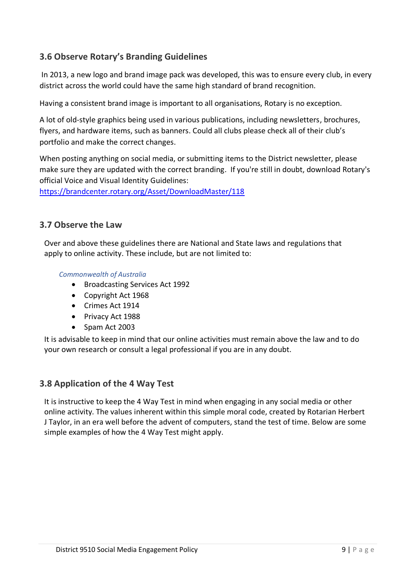#### **3.6 Observe Rotary's Branding Guidelines**

In 2013, a new logo and brand image pack was developed, this was to ensure every club, in every district across the world could have the same high standard of brand recognition.

Having a consistent brand image is important to all organisations, Rotary is no exception.

A lot of old-style graphics being used in various publications, including newsletters, brochures, flyers, and hardware items, such as banners. Could all clubs please check all of their club's portfolio and make the correct changes.

When posting anything on social media, or submitting items to the District newsletter, please make sure they are updated with the correct branding. If you're still in doubt, download Rotary's official Voice and Visual Identity Guidelines:

<https://brandcenter.rotary.org/Asset/DownloadMaster/118>

#### **3.7 Observe the Law**

Over and above these guidelines there are National and State laws and regulations that apply to online activity. These include, but are not limited to:

*Commonwealth of Australia*

- Broadcasting Services Act 1992
- Copyright Act 1968
- Crimes Act 1914
- Privacy Act 1988
- Spam Act 2003

It is advisable to keep in mind that our online activities must remain above the law and to do your own research or consult a legal professional if you are in any doubt.

#### **3.8 Application of the 4 Way Test**

It is instructive to keep the 4 Way Test in mind when engaging in any social media or other online activity. The values inherent within this simple moral code, created by Rotarian Herbert J Taylor, in an era well before the advent of computers, stand the test of time. Below are some simple examples of how the 4 Way Test might apply.